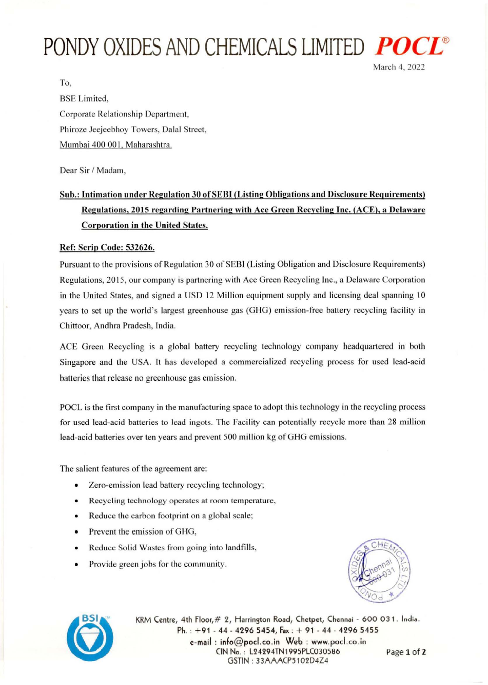## **PONDY OXIDES AND CHEMICALS LIMITED** *PO*



To, BSE Limited, Corporate Relationship Department, Phiroze Jeejeebhoy Towers, Dalal Street, Mumbai 400 001, Maharashtra.

Dear Sir / Madam,

## Sub.: Intimation under Regulation 30 ofSEBI (Listing Obligations and Disclosure Requirements) Regulations, 2015 regarding Partnering with Ace Green Recycling Inc. (ACE), a Delaware Corporation in the United States.

## Ref: Scrip Code: 532626.

Pursuant to the provisions of Regulation 30 of SEBI (Listing Obligation and Disclosure Requirements) Regulations, 2015, our company is partnering with Ace Green Recycling Inc., a Delaware Corporation in the United States, and signed a USD 12 Million equipment supply and licensing deal spanning 10 years to set up the world's largest greenhouse gas (GHG) emission-free battery recycling facility in Chittoor, Andhra Pradesh, India.

ACE Green Recycling is a global battery recycling technology company headquartered in both Singapore and the USA. It has developed a commercialized recycling process for used lead-acid batteries that release no greenhouse gas emission.

POCL is the first company in the manufacturing space to adopt this technology in the recycling process for used lead-acid batteries to lead ingots. The Facility can potentially recycle more than 28 million lead-acid batteries over ten years and prevent 500 million kg of GHG emissions.

The salient features of the agreement are:

- Zero-emission lead battery recycling technology;
- Recycling technology operates at room temperature,
- Reduce the carbon footprint on a global scale;
- Prevent the emission of GHG,
- Reduce Solid Wastes from going into landfills,
- Provide green jobs for the community.





KRM Centre, 4th Floor, # 2, Harrington Road, Chetpet, Chennai - 600 031. India. Ph. : +91 · 44· 4296 5454, Fax : + 91 - 44 - 4296 5455 e-mail: info@pocl.co.in Web: www.pocl.co.in ( IN No. : L24294TN1995PL(030S86 Page 1 of 2 GSTIN: 33AAACP5102D4Z4